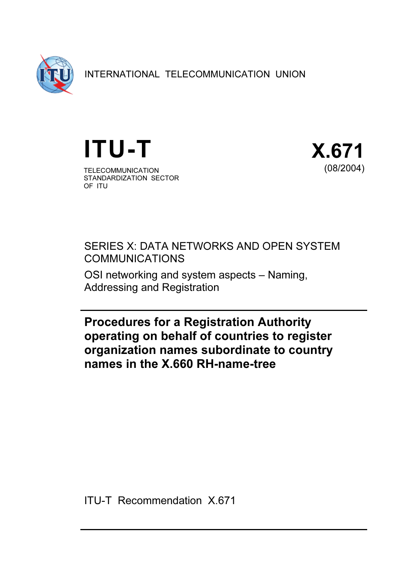

INTERNATIONAL TELECOMMUNICATION UNION





SERIES X: DATA NETWORKS AND OPEN SYSTEM COMMUNICATIONS

OSI networking and system aspects – Naming, Addressing and Registration

Procedures for a Registration Authority operating on behalf of countries to register organization names subordinate to country names in the X.660 RH-name-tree

ITU-T Recommendation X.671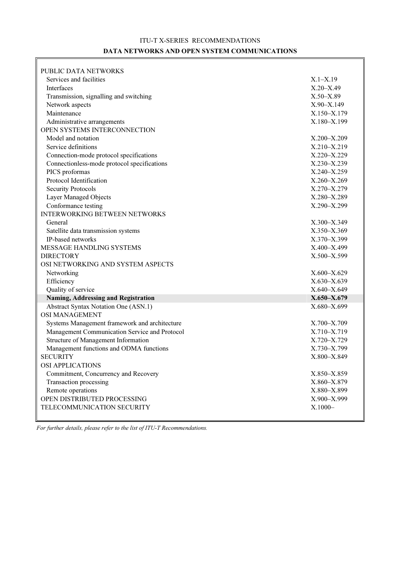### ITU-T X-SERIES RECOMMENDATIONS DATA NETWORKS AND OPEN SYSTEM COMMUNICATIONS

| PUBLIC DATA NETWORKS                          |                 |
|-----------------------------------------------|-----------------|
| Services and facilities                       | $X.1 - X.19$    |
| Interfaces                                    | $X.20 - X.49$   |
| Transmission, signalling and switching        | $X.50 - X.89$   |
| Network aspects                               | $X.90 - X.149$  |
| Maintenance                                   | X.150-X.179     |
| Administrative arrangements                   | X.180-X.199     |
| OPEN SYSTEMS INTERCONNECTION                  |                 |
| Model and notation                            | $X.200 - X.209$ |
| Service definitions                           | X.210-X.219     |
| Connection-mode protocol specifications       | X.220-X.229     |
| Connectionless-mode protocol specifications   | X.230-X.239     |
| PICS proformas                                | X.240-X.259     |
| Protocol Identification                       | X.260-X.269     |
| <b>Security Protocols</b>                     | X.270-X.279     |
| Layer Managed Objects                         | X.280-X.289     |
| Conformance testing                           | X.290-X.299     |
| <b>INTERWORKING BETWEEN NETWORKS</b>          |                 |
| General                                       | X.300-X.349     |
| Satellite data transmission systems           | X.350-X.369     |
| IP-based networks                             | X.370-X.399     |
| MESSAGE HANDLING SYSTEMS                      | X.400-X.499     |
| <b>DIRECTORY</b>                              | X.500-X.599     |
| OSI NETWORKING AND SYSTEM ASPECTS             |                 |
| Networking                                    | $X.600 - X.629$ |
| Efficiency                                    | X.630-X.639     |
| Quality of service                            | $X.640 - X.649$ |
| Naming, Addressing and Registration           | X.650-X.679     |
| <b>Abstract Syntax Notation One (ASN.1)</b>   | X.680-X.699     |
| <b>OSI MANAGEMENT</b>                         |                 |
| Systems Management framework and architecture | X.700-X.709     |
| Management Communication Service and Protocol | X.710-X.719     |
| Structure of Management Information           | X.720-X.729     |
| Management functions and ODMA functions       | X.730-X.799     |
| <b>SECURITY</b>                               | X.800-X.849     |
| OSI APPLICATIONS                              |                 |
| Commitment, Concurrency and Recovery          | X.850-X.859     |
| Transaction processing                        | X.860-X.879     |
| Remote operations                             | X.880-X.899     |
| OPEN DISTRIBUTED PROCESSING                   | X.900-X.999     |
| TELECOMMUNICATION SECURITY                    | $X.1000 -$      |
|                                               |                 |

For further details, please refer to the list of ITU-T Recommendations.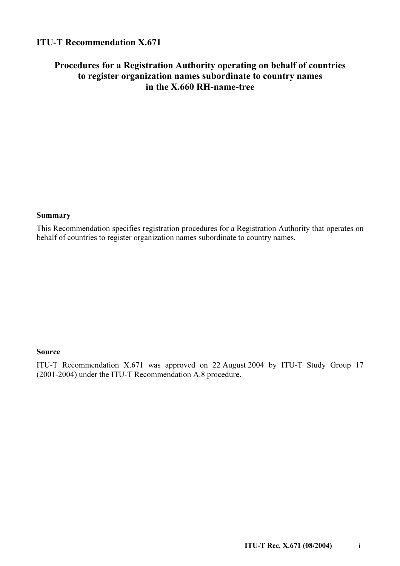# ITU-T Recommendation X.671

# Procedures for a Registration Authority operating on behalf of countries to register organization names subordinate to country names in the X.660 RH-name-tree

#### Summary

This Recommendation specifies registration procedures for a Registration Authority that operates on behalf of countries to register organization names subordinate to country names.

### Source

ITU-T Recommendation X.671 was approved on 22 August 2004 by ITU-T Study Group 17 (2001-2004) under the ITU-T Recommendation A.8 procedure.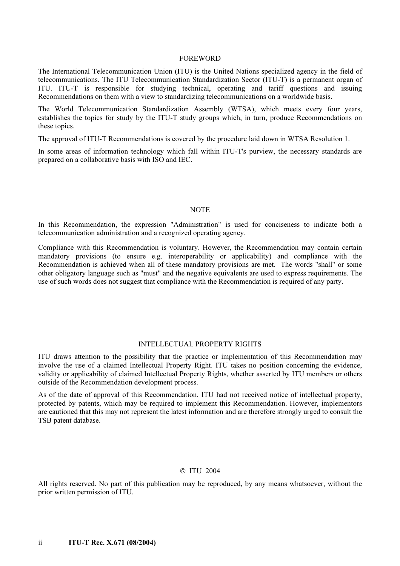#### FOREWORD

The International Telecommunication Union (ITU) is the United Nations specialized agency in the field of telecommunications. The ITU Telecommunication Standardization Sector (ITU-T) is a permanent organ of ITU. ITU-T is responsible for studying technical, operating and tariff questions and issuing Recommendations on them with a view to standardizing telecommunications on a worldwide basis.

The World Telecommunication Standardization Assembly (WTSA), which meets every four years, establishes the topics for study by the ITU-T study groups which, in turn, produce Recommendations on these topics.

The approval of ITU-T Recommendations is covered by the procedure laid down in WTSA Resolution 1.

In some areas of information technology which fall within ITU-T's purview, the necessary standards are prepared on a collaborative basis with ISO and IEC.

#### **NOTE**

In this Recommendation, the expression "Administration" is used for conciseness to indicate both a telecommunication administration and a recognized operating agency.

Compliance with this Recommendation is voluntary. However, the Recommendation may contain certain mandatory provisions (to ensure e.g. interoperability or applicability) and compliance with the Recommendation is achieved when all of these mandatory provisions are met. The words "shall" or some other obligatory language such as "must" and the negative equivalents are used to express requirements. The use of such words does not suggest that compliance with the Recommendation is required of any party.

#### INTELLECTUAL PROPERTY RIGHTS

ITU draws attention to the possibility that the practice or implementation of this Recommendation may involve the use of a claimed Intellectual Property Right. ITU takes no position concerning the evidence, validity or applicability of claimed Intellectual Property Rights, whether asserted by ITU members or others outside of the Recommendation development process.

As of the date of approval of this Recommendation, ITU had not received notice of intellectual property, protected by patents, which may be required to implement this Recommendation. However, implementors are cautioned that this may not represent the latest information and are therefore strongly urged to consult the TSB patent database.

#### ITU 2004

All rights reserved. No part of this publication may be reproduced, by any means whatsoever, without the prior written permission of ITU.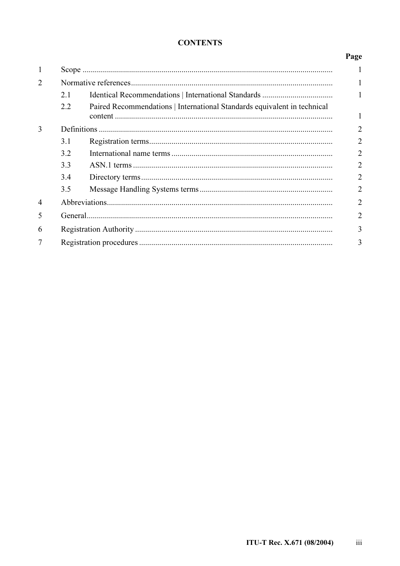### **CONTENTS**

| $\mathbf{1}$   |     |                                                                          |                |
|----------------|-----|--------------------------------------------------------------------------|----------------|
| $\overline{2}$ |     |                                                                          |                |
|                | 2.1 |                                                                          | 1              |
|                | 2.2 | Paired Recommendations   International Standards equivalent in technical | 1              |
| 3              |     |                                                                          | $\overline{2}$ |
|                | 3.1 |                                                                          | $\overline{2}$ |
|                | 3.2 |                                                                          | $\overline{2}$ |
|                | 3.3 |                                                                          | $\overline{2}$ |
|                | 3.4 |                                                                          | $\overline{2}$ |
|                | 3.5 |                                                                          | $\overline{2}$ |
| $\overline{4}$ |     |                                                                          | $\overline{2}$ |
| 5              |     |                                                                          | $\overline{2}$ |
| 6              |     |                                                                          |                |
| 7              |     |                                                                          |                |

Page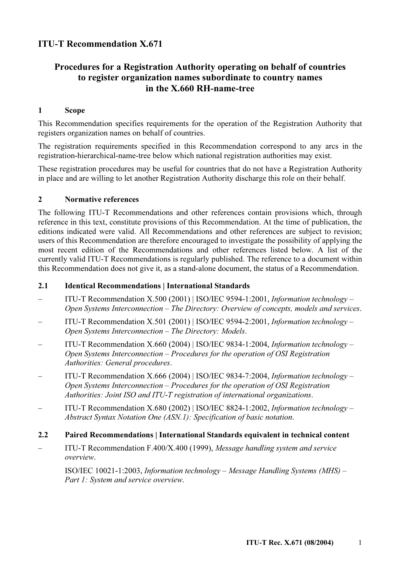# ITU-T Recommendation X.671

# Procedures for a Registration Authority operating on behalf of countries to register organization names subordinate to country names in the X.660 RH-name-tree

### 1 Scope

This Recommendation specifies requirements for the operation of the Registration Authority that registers organization names on behalf of countries.

The registration requirements specified in this Recommendation correspond to any arcs in the registration-hierarchical-name-tree below which national registration authorities may exist.

These registration procedures may be useful for countries that do not have a Registration Authority in place and are willing to let another Registration Authority discharge this role on their behalf.

### 2 Normative references

The following ITU-T Recommendations and other references contain provisions which, through reference in this text, constitute provisions of this Recommendation. At the time of publication, the editions indicated were valid. All Recommendations and other references are subject to revision; users of this Recommendation are therefore encouraged to investigate the possibility of applying the most recent edition of the Recommendations and other references listed below. A list of the currently valid ITU-T Recommendations is regularly published. The reference to a document within this Recommendation does not give it, as a stand-alone document, the status of a Recommendation.

### 2.1 Identical Recommendations | International Standards

- ITU-T Recommendation X.500 (2001) | ISO/IEC 9594-1:2001, Information technology Open Systems Interconnection – The Directory: Overview of concepts, models and services.
- ITU-T Recommendation X.501 (2001) | ISO/IEC 9594-2:2001, Information technology Open Systems Interconnection – The Directory: Models.
- ITU-T Recommendation  $X.660 (2004)$  | ISO/IEC 9834-1:2004, *Information technology* Open Systems Interconnection – Procedures for the operation of OSI Registration Authorities: General procedures.
- ITU-T Recommendation X.666 (2004) | ISO/IEC 9834-7:2004, Information technology Open Systems Interconnection – Procedures for the operation of OSI Registration Authorities: Joint ISO and ITU-T registration of international organizations.
- ITU-T Recommendation X.680 (2002) | ISO/IEC 8824-1:2002, *Information technology* Abstract Syntax Notation One (ASN.1): Specification of basic notation.

### 2.2 Paired Recommendations | International Standards equivalent in technical content

– ITU-T Recommendation F.400/X.400 (1999), Message handling system and service overview.

 ISO/IEC 10021-1:2003, Information technology – Message Handling Systems (MHS) – Part 1: System and service overview.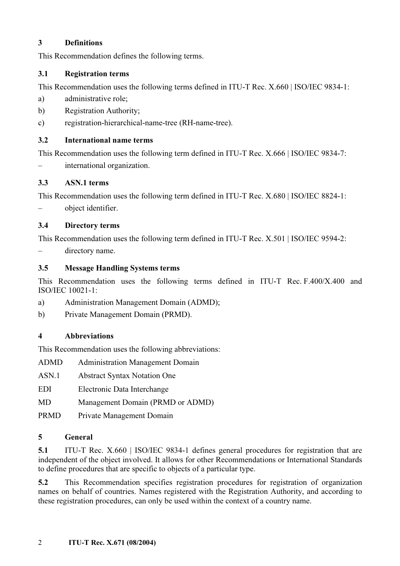### 3 Definitions

This Recommendation defines the following terms.

### 3.1 Registration terms

This Recommendation uses the following terms defined in ITU-T Rec. X.660 | ISO/IEC 9834-1:

- a) administrative role;
- b) Registration Authority;
- c) registration-hierarchical-name-tree (RH-name-tree).

### 3.2 International name terms

This Recommendation uses the following term defined in ITU-T Rec. X.666 | ISO/IEC 9834-7:

– international organization.

## 3.3 ASN.1 terms

This Recommendation uses the following term defined in ITU-T Rec. X.680 | ISO/IEC 8824-1:

– object identifier.

## 3.4 Directory terms

This Recommendation uses the following term defined in ITU-T Rec. X.501 | ISO/IEC 9594-2:

– directory name.

# 3.5 Message Handling Systems terms

This Recommendation uses the following terms defined in ITU-T Rec. F.400/X.400 and ISO/IEC 10021-1:

- a) Administration Management Domain (ADMD);
- b) Private Management Domain (PRMD).

## 4 Abbreviations

This Recommendation uses the following abbreviations:

- ADMD Administration Management Domain
- ASN.1 Abstract Syntax Notation One
- EDI Electronic Data Interchange
- MD Management Domain (PRMD or ADMD)
- PRMD Private Management Domain

## 5 General

5.1 ITU-T Rec. X.660 | ISO/IEC 9834-1 defines general procedures for registration that are independent of the object involved. It allows for other Recommendations or International Standards to define procedures that are specific to objects of a particular type.

5.2 This Recommendation specifies registration procedures for registration of organization names on behalf of countries. Names registered with the Registration Authority, and according to these registration procedures, can only be used within the context of a country name.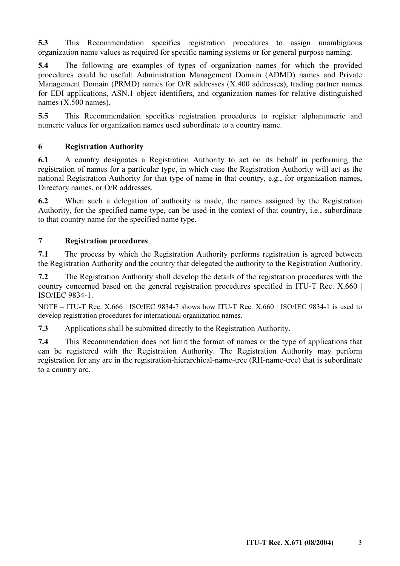5.3 This Recommendation specifies registration procedures to assign unambiguous organization name values as required for specific naming systems or for general purpose naming.

5.4 The following are examples of types of organization names for which the provided procedures could be useful: Administration Management Domain (ADMD) names and Private Management Domain (PRMD) names for O/R addresses (X.400 addresses), trading partner names for EDI applications, ASN.1 object identifiers, and organization names for relative distinguished names (X.500 names).

5.5 This Recommendation specifies registration procedures to register alphanumeric and numeric values for organization names used subordinate to a country name.

### 6 Registration Authority

6.1 A country designates a Registration Authority to act on its behalf in performing the registration of names for a particular type, in which case the Registration Authority will act as the national Registration Authority for that type of name in that country, e.g., for organization names, Directory names, or O/R addresses.

6.2 When such a delegation of authority is made, the names assigned by the Registration Authority, for the specified name type, can be used in the context of that country, i.e., subordinate to that country name for the specified name type.

### 7 Registration procedures

7.1 The process by which the Registration Authority performs registration is agreed between the Registration Authority and the country that delegated the authority to the Registration Authority.

7.2 The Registration Authority shall develop the details of the registration procedures with the country concerned based on the general registration procedures specified in ITU-T Rec. X.660 | ISO/IEC 9834-1.

NOTE – ITU-T Rec. X.666 | ISO/IEC 9834-7 shows how ITU-T Rec. X.660 | ISO/IEC 9834-1 is used to develop registration procedures for international organization names.

7.3 Applications shall be submitted directly to the Registration Authority.

7.4 This Recommendation does not limit the format of names or the type of applications that can be registered with the Registration Authority. The Registration Authority may perform registration for any arc in the registration-hierarchical-name-tree (RH-name-tree) that is subordinate to a country arc.